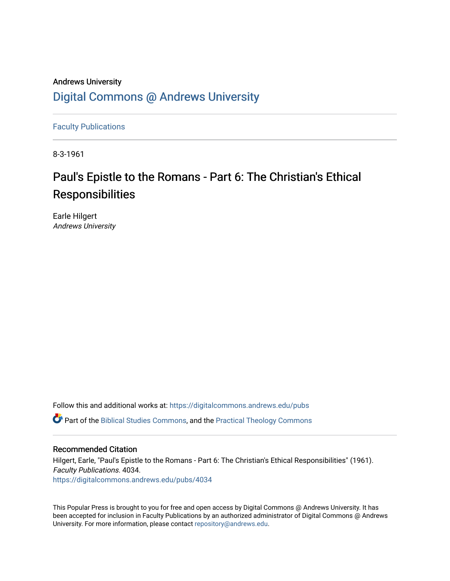## Andrews University [Digital Commons @ Andrews University](https://digitalcommons.andrews.edu/)

[Faculty Publications](https://digitalcommons.andrews.edu/pubs)

8-3-1961

# Paul's Epistle to the Romans - Part 6: The Christian's Ethical **Responsibilities**

Earle Hilgert Andrews University

Follow this and additional works at: [https://digitalcommons.andrews.edu/pubs](https://digitalcommons.andrews.edu/pubs?utm_source=digitalcommons.andrews.edu%2Fpubs%2F4034&utm_medium=PDF&utm_campaign=PDFCoverPages) 

Part of the [Biblical Studies Commons,](http://network.bepress.com/hgg/discipline/539?utm_source=digitalcommons.andrews.edu%2Fpubs%2F4034&utm_medium=PDF&utm_campaign=PDFCoverPages) and the [Practical Theology Commons](http://network.bepress.com/hgg/discipline/1186?utm_source=digitalcommons.andrews.edu%2Fpubs%2F4034&utm_medium=PDF&utm_campaign=PDFCoverPages) 

## Recommended Citation

Hilgert, Earle, "Paul's Epistle to the Romans - Part 6: The Christian's Ethical Responsibilities" (1961). Faculty Publications. 4034. [https://digitalcommons.andrews.edu/pubs/4034](https://digitalcommons.andrews.edu/pubs/4034?utm_source=digitalcommons.andrews.edu%2Fpubs%2F4034&utm_medium=PDF&utm_campaign=PDFCoverPages) 

This Popular Press is brought to you for free and open access by Digital Commons @ Andrews University. It has been accepted for inclusion in Faculty Publications by an authorized administrator of Digital Commons @ Andrews University. For more information, please contact [repository@andrews.edu](mailto:repository@andrews.edu).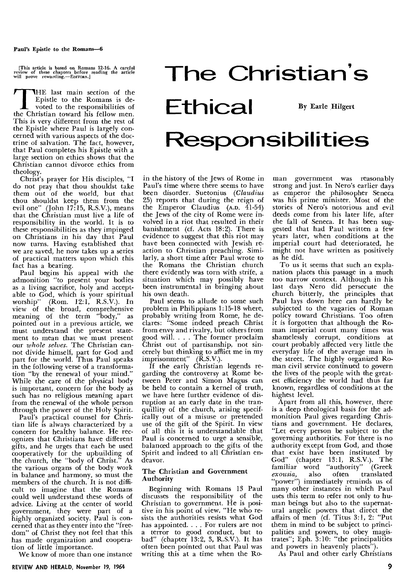#### Paul's Epistle to the Romans-6

[This article is based on Romans 12-16. A careful review of these chapters before reading the article will prove rewarding.—EDITORS.1

**T**HE last main section of the Epistle to the Romans is devoted to the responsibilities of the Christian toward his fellow men. This is very different from the rest of the Epistle where Paul is largely concerned with various aspects of the doctrine of salvation. The fact, however, that Paul completes his Epistle with a large section on ethics shows that the Christian cannot divorce ethics from theology.

Christ's prayer for His disciples, "I do not pray that thou shouldst take them out of the world, but that thou shouldst keep them from the evil one" (John 17:15, R.S.V.), means that the Christian must live a life of responsibility in the world. It is to these responsibilities as they impinged on Christians in his day that Paul now turns. Having established that we are saved, he now takes up a series of practical matters upon which this fact has a bearing.

Paul begins his appeal with the admonition "to present your bodies as a living sacrifice, holy and acceptable to God, which is your spiritual worship" (Rom. 12:1, R.S.V.). In  $(Kom. 12:1, KR.S.V.).$  In view of the broad, comprehensive meaning of the term "body," as pointed out in a previous article, we must understand the present statement to mean that we must present our *whole selves.* The Christian cannot divide himself, part for God and part for the world. Thus Paul speaks in the following verse of a transformation "by the renewal of your mind." While the care of the physical body is important, concern for the body as such has no religious meaning apart from the renewal of the whole person through the power of the Holy Spirit.

Paul's practical counsel for Christian life is always characterized by a concern for healthy balance. He recognizes that Christians have different gifts, and he urges that each be used cooperatively for the upbuilding of the church, the "body of Christ." As the various organs of the body work in balance and harmony, so must the members of the church. It is not difficult to imagine that the Romans could well understand these words of advice. Living at the center of world government, they were part of a highly organized society. Paul is concerned that as they enter into the "freedom" of Christ they not feel that this has made organization and cooperation of little importance.

We know of more than one instance

**The Christian's**  Ethical By Earle Hilgert **Responsibilities** 

in the history of the Jews of Rome in Paul's time where there seems to have been disorder. Suetonius *(Claudius*  25) reports that during the reign of the Emperor Claudius (A.D. 41-54) the Jews of the city of Rome were involved in a riot that resulted in their banishment (cf. Acts 18:2). There is evidence to suggest that this riot may have been connected with Jewish reaction to Christian preaching. Similarly, a short time after Paul wrote to the Romans the Christian church there evidently was torn with strife, a situation which may possibly have been instrumental in bringing about his own death.

Paul seems to allude to some such problem in Philippians 1:15-18 where, probably writing from Rome, he declares: "Some indeed preach Christ from envy and rivalry, but others from good will. . . . The former proclaim Christ out of partisanship, not sincerely but thinking to afflict me in my imprisonment" (R.S.V.).

If the early Christian legends regarding the controversy at Rome between Peter and Simon Magus can be held to contain a kernel of truth, we have here further evidence of disruption at an early date in the tranquillity of the church, arising specifically out of a misuse or pretended use of the gift of the Spirit. In view of all this it is understandable that Paul is concerned to urge a sensible, balanced approach to the gifts of the Spirit and indeed to all Christian endeavor.

#### The Christian and Government Authority

Beginning with Romans 13 Paul discusses the responsibility of the Christian to government. He is positive in his point of view. "He who resists the authorities resists what God has appointed. . . . For rulers are not a terror to good conduct, but to bad" (chapter 13:2, 3, R.S.V.). It has often been pointed out that Paul was writing this at a time when the Roman government was reasonably strong and just. In Nero's earlier days as emperor the philosopher Seneca was his prime minister. Most of the stories of Nero's notorious and evil deeds come from his later life, after the fall of Seneca. It has been suggested that had Paul written a few years later, when conditions at the imperial court had deteriorated, he might not have written as positively as he did.

To us it seems that such an explanation places this passage in a much too narrow context. Although in his last days Nero did persecute the church bitterly, the principles that Paul lays down here can hardly be subjected to the vagaries of Roman policy toward Christians. Too often it is forgotten that although the Roman imperial court many times was shamelessly corrupt, conditions at court probably affected very little the everyday life of the average man in the street. The highly organized Roman civil service continued to govern the lives of the people with the greatest efficiency the world had thus far known, regardless of conditions at the highest level.

Apart from all this, however, there is a deep theological basis for the admonition Paul gives regarding Christians and government. He declares, "Let every person be subject to the governing authorities. For there is no authority except from God, and those that exist have been instituted by God" (chapter 13:1, R.S.V.). The familiar word "authority" (Greek<br>exousia, also often translated *exousia,* also often translated "power") immediately reminds us of many other instances in which Paul uses this term to refer not only to human beings but also to the supernatural angelic powers that direct the affairs of men (cf. Titus 3:1, 2: "Put them in mind to be subject to principalities and powers, to obey magistrates"; Eph. 3:10: "the principalities and powers in heavenly places").

As Paul and other early Christians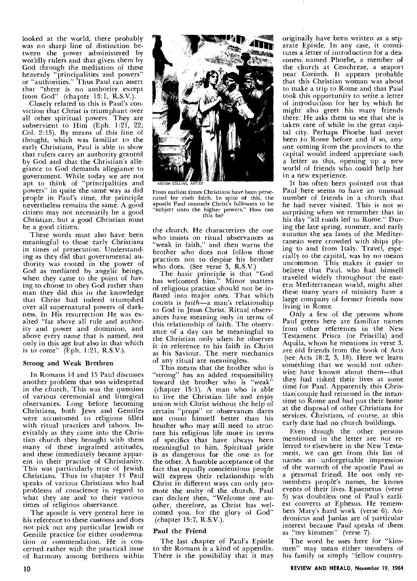looked at the world, there probably was no sharp line of distinction between the power administered by worldly rulers and that given them by God through the mediation of these heavenly "principalities and powers" or "authorities." Thus Paul can assert that "there is no authority except from God" (chapter 13:1, R.S.V.).

Closely related to this is Paul's conviction that Christ is triumphant over all other spiritual powers. They are subservient to Him (Eph. 1:21, 22; Col. 2:15). By means of this line of thought, which was familiar to the early Christians, Paul is able to show that rulers carry an authority granted by God and that the Christian's allegiance to God demands allegiance to government. While today we are not apt to think of "principalities and powers" in quite the same way as did people in Paul's time, the principle nevertheless remains the same. A good citizen may not necessarily be a good Christian, but a good Christian must be a good citizen.

These words must also have been meaningful to those early Christians in times of persecution. Understanding as they did that governmental authority was rooted in the power of God as mediated by angelic beings, when they came to the point of having to choose to obey God rather than man they did this in the knowledge that Christ had indeed triumphed over all supernatural powers of darkness. In His resurrection He was exalted "far above all rule and authority and power and dominion, and above every name that is named, not only in this age but also in that which is to come" (Eph. 1:21, R.S.V.).

#### Strong and Weak Brethren

In Romans 14 and 15 Paul discusses another problem that was widespread in the church. This was the question of various ceremonial and liturgical observances. Long before becoming Christians, both Jews and Gentiles were accustomed to religions filled with ritual practices and taboos. Inevitably as they came into the Christian church they brought with them many of these ingrained attitudes, and these immediately became apparent in their practice of Christianity. This was particularly true of Jewish Christians. Thus in chapter 14 Paul speaks of various Christians who had problems of conscience in regard to what they ate and to their various times of religious observance.

The apostle is very general here in his reference to these customs and does not pick out any particular Jewish or Gentile practice for either condemnation or commendation. He is concerned rather with the practical issue of harmony among brethren within



From earliest times Christians have been persecuted for their faith. In spite of this, the apostle Paul counsels Christ's followers to be "subject unto the higher powers." How can this be?

the church. He characterizes the one who insists on ritual observances as "weak in faith," and then warns the brother who does not follow those practices not to despise his brother who does. (See verse 3, R.S.V.)

The basic principle is that "God has welcomed him." Minor matters of religious practice should not be inflated into major ones. That which counts is *faith—a* man's relationship to God in Jesus Christ. Ritual observances have meaning only in terms of this relationship of faith. The observance of a day can be meaningful to the Christian only when he observes it in reference to his faith in Christ as his Saviour. The mere mechanics of any ritual are meaningless.

This means that the brother who is "strong" has an added responsibility toward the brother who is "weak" (chapter 15:1). A man who is able to live the Christian life and enjoy union with Christ without the help of certain "props" or observances dares not count himself better than his brother who may still need to structure his religious life more in terms of specifics that have always been meaningful to him. Spiritual pride is as dangerous for the one as for the other. A humble acceptance of the fact that equally conscientious people will express their relationship with Christ in different ways can only promote the unity of the church. Paul can declare then, "Welcome one another, therefore, as Christ has welcomed you, for the glory of God" (chapter 15:7, R.S.V.).

### Paul the Friend

The last chapter of Paul's Epistle to the Romans is a kind of appendix. There is the possibility that it may originally have been written as a separate Epistle. In any case, it constitutes 4 letter of introduction for a deaconess) named Phoebe, a member of the church at Cenchreae, a seaport near Corinth. It appears probable that this Christian woman was about to make a trip to Rome and that Paul took this opportunity to write a letter of introduction for her by which he might also greet his many friends there. He asks them to see that she is taken; care of while in the great capital city. Perhaps Phoebe had never been to Rome before and if so, anyone coming from the provinces to the capital would indeed appreciate such a letter as this, opening up a new world of friends who could help her in a new experience.

It has often been pointed out that Paul here seems to have an unusual number of friends in a church that he had never visited. This is not so surprising when we remember that in his day "all roads led to Rome." During the late spring, summer, and early autumn the sea lanes of the Mediterranean were crowded with ships plying to and from Italy. Travel, especially to the capital, was by no means uncommon. This makes it easier to belieye that Paul, who had himself traveled widely throughout the eastern Mediterranean world, might after these many years of ministry have a large company of former friends now living in Rome.

Only a few of the persons whom Paull greets here are familiar names from other references in the New Testament. Prisca (or Priscilla) and Aquila, whom he mentions in verse 3, are old friends from the book of Acts  $\left($ see $\right|$  Acts 18:2, 3, 18). Here we learn something that we would not otherwise have known about them—that they[ had risked their lives at some time for Paul. Apparently this Christian couple had returned in the meantime to Rome and had put their home at the disposal of other Christians for services. Christians, of course, at this early date had no church buildings.

EVen though the other persons mentioned in the letter are not referred to elsewhere in the New Testament, we can get from this list of names an unforgettable impression of the warmth of the apostle Paul as a personal friend. He not only remembers people's names, he knows events of their lives. Epaenetus (verse 5) was doubtless one of Paul's earliest converts at Ephesus. He remembers Mary's hard work (verse 6). Andronicus and Junias are of particular interest because Paul speaks of them as "my kinsmen" (verse 7).

The word he uses here for "kinsmen" may mean either members of his family or simply "fellow country-